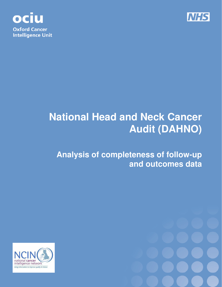



# **National Head and Neck Cancer Audit (DAHNO)**

# **Analysis of completeness of follow-up and outcomes data**



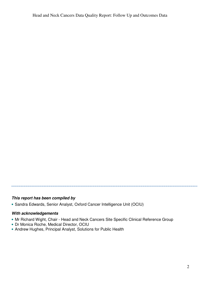#### **This report has been compiled by**

• Sandra Edwards, Senior Analyst, Oxford Cancer Intelligence Unit (OCIU)

#### **With acknowledgements**

- Mr Richard Wight, Chair Head and Neck Cancers Site Specific Clinical Reference Group
- Dr Monica Roche, Medical Director, OCIU
- Andrew Hughes, Principal Analyst, Solutions for Public Health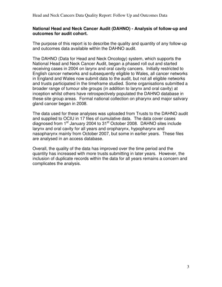#### **National Head and Neck Cancer Audit (DAHNO) - Analysis of follow-up and outcomes for audit cohort.**

The purpose of this report is to describe the quality and quantity of any follow-up and outcomes data available within the DAHNO audit.

The DAHNO (Data for Head and Neck Oncology) system, which supports the National Head and Neck Cancer Audit, began a phased roll out and started receiving cases in 2004 on larynx and oral cavity cancers. Initially restricted to English cancer networks and subsequently eligible to Wales, all cancer networks in England and Wales now submit data to the audit, but not all eligible networks and trusts participated in the timeframe studied. Some organisations submitted a broader range of tumour site groups (in addition to larynx and oral cavity) at inception whilst others have retrospectively populated the DAHNO database in these site group areas. Formal national collection on pharynx and major salivary gland cancer began in 2008.

The data used for these analyses was uploaded from Trusts to the DAHNO audit and supplied to OCIU in 17 files of cumulative data. The data cover cases diagnosed from 1<sup>st</sup> January 2004 to 31<sup>st</sup> October 2008. DAHNO sites include larynx and oral cavity for all years and oropharynx, hypopharynx and nasopharynx mainly from October 2007, but some in earlier years. These files are analysed in an access database.

Overall, the quality of the data has improved over the time period and the quantity has increased with more trusts submitting in later years. However, the inclusion of duplicate records within the data for all years remains a concern and complicates the analysis.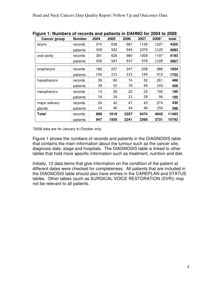| ञ.                  |               |      |      |      |      |       |       |
|---------------------|---------------|------|------|------|------|-------|-------|
| <b>Cancer group</b> | <b>Number</b> | 2004 | 2005 | 2006 | 2007 | 2008* | total |
| larynx              | records       | 374  | 638  | 987  | 1129 | 1227  | 4355  |
|                     | patients      | 358  | 582  | 944  | 1079 | 1120  | 4083  |
| oral cavity         | records       | 381  | 626  | 980  | 1009 | 1197  | 4193  |
|                     | patients      | 356  | 587  | 937  | 978  | 1109  | 3967  |
| oropharynx          | records       | 166  | 227  | 247  | 208  | 986   | 1834  |
|                     | patients      | 156  | 215  | 225  | 194  | 913   | 1703  |
| hypopharynx         | records       | 39   | 60   | 74   | 52   | 261   | 486   |
|                     | patients      | 39   | 55   | 70   | 49   | 243   | 456   |
| nasopharynx         | records       | 14   | 26   | 22   | 33   | 100   | 195   |
|                     | patients      | 14   | 26   | 21   | 28   | 96    | 185   |
| major salivary      | records       | 24   | 42   | 47   | 43   | 274   | 430   |
| glands              | patients      | 24   | 40   | 44   | 40   | 250   | 398   |
| <b>Total</b>        | records       | 998  | 1619 | 2357 | 2474 | 4045  | 11493 |
|                     | patients      | 947  | 1505 | 2241 | 2368 | 3731  | 10792 |

**Figure 1: Numbers of records and patients in DAHNO for 2004 to 2008** 

\*2008 data are for January to October only

Figure 1 shows the numbers of records and patients in the DIAGNOSIS table that contains the main information about the tumour such as the cancer site, diagnosis date, stage and hospitals. The DIAGNOSIS table is linked to other tables that hold more specific information such as treatment, nutrition and diet.

Initially, 12 data items that give information on the condition of the patient at different dates were checked for completeness. All patients that are included in the DIAGNOSIS table should also have entries in the CAREPLAN and STATUS tables. Other tables (such as SURGICAL VOICE RESTORATION (SVR)) may not be relevant to all patients.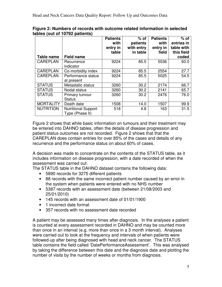|                  |                            | <b>Patients</b><br>with<br>entry in<br>table | $%$ of<br>patients<br>with entry<br>in table | <b>Patients</b><br>with<br>entry in<br>field | $%$ of<br>entries in<br>table with<br>this field |
|------------------|----------------------------|----------------------------------------------|----------------------------------------------|----------------------------------------------|--------------------------------------------------|
| Table name       | <b>Field name</b>          |                                              |                                              |                                              | coded                                            |
| <b>CAREPLAN</b>  | Recurrence                 | 9224                                         | 85.5                                         | 5536                                         | 60.0                                             |
|                  | indicator                  |                                              |                                              |                                              |                                                  |
| <b>CAREPLAN</b>  | Co-morbidity index         | 9224                                         | 85.5                                         | 2554                                         | 27.7                                             |
| <b>CAREPLAN</b>  | Performance status         | 9224                                         | 85.5                                         | 5025                                         | 54.5                                             |
|                  | at present                 |                                              |                                              |                                              |                                                  |
| <b>STATUS</b>    | Metastatic status          | 3260                                         | 30.2                                         | 2174                                         | 66.7                                             |
| <b>STATUS</b>    | Nodal status               | 3260                                         | 30.2                                         | 2141                                         | 65.7                                             |
| <b>STATUS</b>    | Primary tumour             | 3260                                         | 30.2                                         | 2476                                         | 76.0                                             |
|                  | <b>Status</b>              |                                              |                                              |                                              |                                                  |
| <b>MORTALITY</b> | Death date                 | 1508                                         | 14.0                                         | 1507                                         | 99.9                                             |
| <b>NUTRITION</b> | <b>Nutritional Support</b> | 518                                          | 4.8                                          | 163                                          | 31.5                                             |
|                  | Type (Phase II)            |                                              |                                              |                                              |                                                  |

#### **Figure 2: Numbers of records with outcome related information in selected tables (out of 10792 patients)**

Figure 2 shows that while basic information on tumours and their treatment may be entered into DAHNO tables, often the details of disease progression and patient status outcomes are not recorded. Figure 2 shows that that the CAREPLAN does contain entries for over 85% of the cases and details of any recurrence and the performance status on about 60% of cases.

A decision was made to concentrate on the contents of the STATUS table, as it includes information on disease progression, with a date recorded of when the assessment was carried out.

The STATUS table in the DAHNO dataset contains the following data:

- 5890 records for 3275 different patients
- 88 records with the same incorrect patient number caused by an error in the system when patients were entered with no NHS number
- 5387 records with an assessment date (between 21/08/2003 and 25/01/2010)
- 145 records with an assessment date of 01/01/1900
- 1 incorrect date format
- 357 records with no assessment date recorded

A patient may be assessed many times after diagnosis. In the analyses a patient is counted at every assessment recorded in DAHNO and may be counted more than once in an interval (e.g. more than once in a 3 month interval). Analyses were carried out to look at the frequency and intervals of when patients were followed-up after being diagnosed with head and neck cancer. The STATUS table contains the field called 'DatePerformanceAssessment'. This was analysed by taking the difference between this date and the diagnosis date and plotting the number of visits by the number of weeks or months from diagnosis.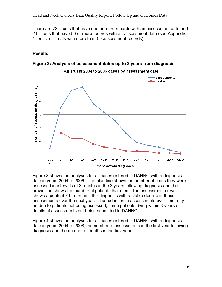There are 73 Trusts that have one or more records with an assessment date and 21 Trusts that have 50 or more records with an assessment date (see Appendix 1 for list of Trusts with more than 50 assessment records).

### **Results**



**Figure 3: Analysis of assessment dates up to 3 years from diagnosis** 

Figure 3 shows the analyses for all cases entered in DAHNO with a diagnosis date in years 2004 to 2006. The blue line shows the number of times they were assessed in intervals of 3 months in the 3 years following diagnosis and the brown line shows the number of patients that died. The assessment curve shows a peak at 7-9 months after diagnosis with a stable decline in these assessments over the next year. The reduction in assessments over time may be due to patients not being assessed, some patients dying within 3 years or details of assessments not being submitted to DAHNO.

Figure 4 shows the analyses for all cases entered in DAHNO with a diagnosis date in years 2004 to 2008, the number of assessments in the first year following diagnosis and the number of deaths in the first year.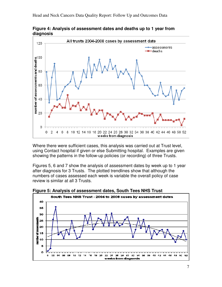

**Figure 4: Analysis of assessment dates and deaths up to 1 year from diagnosis** 

Where there were sufficient cases, this analysis was carried out at Trust level, using Contact hospital if given or else Submitting hospital. Examples are given showing the patterns in the follow-up policies (or recording) of three Trusts.

Figures 5, 6 and 7 show the analysis of assessment dates by week up to 1 year after diagnosis for 3 Trusts. The plotted trendlines show that although the numbers of cases assessed each week is variable the overall policy of case review is similar at all 3 Trusts.



**Figure 5: Analysis of assessment dates, South Tees NHS Trust**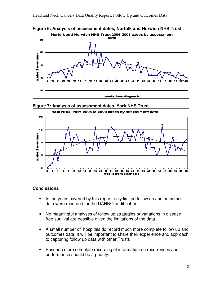**Figure 6: Analysis of assessment dates, Norfolk and Norwich NHS Trust** 



**Figure 7: Analysis of assessment dates, York NHS Trust** 



#### **Conclusions**

- In the years covered by this report, only limited follow up and outcomes data were recorded for the DAHNO audit cohort.
- No meaningful analyses of follow up strategies or variations in disease free survival are possible given the limitations of the data.
- A small number of hospitals do record much more complete follow up and outcomes data. It will be important to share their experience and approach to capturing follow up data with other Trusts
- Ensuring more complete recording of information on recurrences and performance should be a priority.